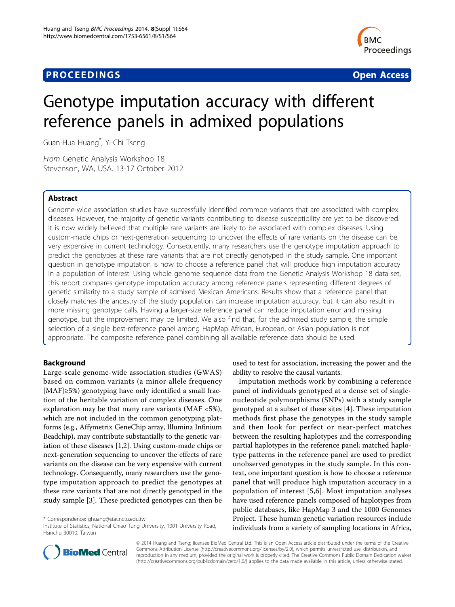## **PROCEEDINGS CONSIDERING S** Open Access **CONSIDERING S**



# Genotype imputation accuracy with different reference panels in admixed populations

Guan-Hua Huang\* , Yi-Chi Tseng

From Genetic Analysis Workshop 18 Stevenson, WA, USA. 13-17 October 2012

## Abstract

Genome-wide association studies have successfully identified common variants that are associated with complex diseases. However, the majority of genetic variants contributing to disease susceptibility are yet to be discovered. It is now widely believed that multiple rare variants are likely to be associated with complex diseases. Using custom-made chips or next-generation sequencing to uncover the effects of rare variants on the disease can be very expensive in current technology. Consequently, many researchers use the genotype imputation approach to predict the genotypes at these rare variants that are not directly genotyped in the study sample. One important question in genotype imputation is how to choose a reference panel that will produce high imputation accuracy in a population of interest. Using whole genome sequence data from the Genetic Analysis Workshop 18 data set, this report compares genotype imputation accuracy among reference panels representing different degrees of genetic similarity to a study sample of admixed Mexican Americans. Results show that a reference panel that closely matches the ancestry of the study population can increase imputation accuracy, but it can also result in more missing genotype calls. Having a larger-size reference panel can reduce imputation error and missing genotype, but the improvement may be limited. We also find that, for the admixed study sample, the simple selection of a single best-reference panel among HapMap African, European, or Asian population is not appropriate. The composite reference panel combining all available reference data should be used.

## Background

Large-scale genome-wide association studies (GWAS) based on common variants (a minor allele frequency [MAF]≥5%) genotyping have only identified a small fraction of the heritable variation of complex diseases. One explanation may be that many rare variants (MAF <5%), which are not included in the common genotyping platforms (e.g., Affymetrix GeneChip array, Illumina Infinium Beadchip), may contribute substantially to the genetic variation of these diseases [\[1,2](#page-3-0)]. Using custom-made chips or next-generation sequencing to uncover the effects of rare variants on the disease can be very expensive with current technology. Consequently, many researchers use the genotype imputation approach to predict the genotypes at these rare variants that are not directly genotyped in the study sample [[3](#page-3-0)]. These predicted genotypes can then be

used to test for association, increasing the power and the ability to resolve the causal variants.

Imputation methods work by combining a reference panel of individuals genotyped at a dense set of singlenucleotide polymorphisms (SNPs) with a study sample genotyped at a subset of these sites [\[4](#page-3-0)]. These imputation methods first phase the genotypes in the study sample and then look for perfect or near-perfect matches between the resulting haplotypes and the corresponding partial haplotypes in the reference panel; matched haplotype patterns in the reference panel are used to predict unobserved genotypes in the study sample. In this context, one important question is how to choose a reference panel that will produce high imputation accuracy in a population of interest [[5,6](#page-4-0)]. Most imputation analyses have used reference panels composed of haplotypes from public databases, like HapMap 3 and the 1000 Genomes Project. These human genetic variation resources include individuals from a variety of sampling locations in Africa,



© 2014 Huang and Tseng; licensee BioMed Central Ltd. This is an Open Access article distributed under the terms of the Creative Commons Attribution License [\(http://creativecommons.org/licenses/by/2.0](http://creativecommons.org/licenses/by/2.0)), which permits unrestricted use, distribution, and reproduction in any medium, provided the original work is properly cited. The Creative Commons Public Domain Dedication waiver [\(http://creativecommons.org/publicdomain/zero/1.0/](http://creativecommons.org/publicdomain/zero/1.0/)) applies to the data made available in this article, unless otherwise stated.

<sup>\*</sup> Correspondence: [ghuang@stat.nctu.edu.tw](mailto:ghuang@stat.nctu.edu.tw)

Institute of Statistics, National Chiao Tung University, 1001 University Road, Hsinchu 30010, Taiwan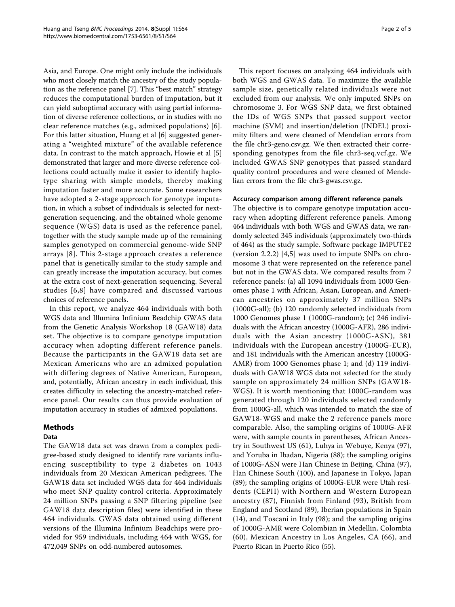Asia, and Europe. One might only include the individuals who most closely match the ancestry of the study population as the reference panel [\[7](#page-4-0)]. This "best match" strategy reduces the computational burden of imputation, but it can yield suboptimal accuracy with using partial information of diverse reference collections, or in studies with no clear reference matches (e.g., admixed populations) [[6](#page-4-0)]. For this latter situation, Huang et al [[6\]](#page-4-0) suggested generating a "weighted mixture" of the available reference data. In contrast to the match approach, Howie et al [\[5](#page-4-0)] demonstrated that larger and more diverse reference collections could actually make it easier to identify haplotype sharing with simple models, thereby making imputation faster and more accurate. Some researchers have adopted a 2-stage approach for genotype imputation, in which a subset of individuals is selected for nextgeneration sequencing, and the obtained whole genome sequence (WGS) data is used as the reference panel, together with the study sample made up of the remaining samples genotyped on commercial genome-wide SNP arrays [[8\]](#page-4-0). This 2-stage approach creates a reference panel that is genetically similar to the study sample and can greatly increase the imputation accuracy, but comes at the extra cost of next-generation sequencing. Several studies [[6](#page-4-0),[8](#page-4-0)] have compared and discussed various choices of reference panels.

In this report, we analyze 464 individuals with both WGS data and Illumina Infinium Beadchip GWAS data from the Genetic Analysis Workshop 18 (GAW18) data set. The objective is to compare genotype imputation accuracy when adopting different reference panels. Because the participants in the GAW18 data set are Mexican Americans who are an admixed population with differing degrees of Native American, European, and, potentially, African ancestry in each individual, this creates difficulty in selecting the ancestry-matched reference panel. Our results can thus provide evaluation of imputation accuracy in studies of admixed populations.

## Methods

## Data

The GAW18 data set was drawn from a complex pedigree-based study designed to identify rare variants influencing susceptibility to type 2 diabetes on 1043 individuals from 20 Mexican American pedigrees. The GAW18 data set included WGS data for 464 individuals who meet SNP quality control criteria. Approximately 24 million SNPs passing a SNP filtering pipeline (see GAW18 data description files) were identified in these 464 individuals. GWAS data obtained using different versions of the Illumina Infinium Beadchips were provided for 959 individuals, including 464 with WGS, for 472,049 SNPs on odd-numbered autosomes.

This report focuses on analyzing 464 individuals with both WGS and GWAS data. To maximize the available sample size, genetically related individuals were not excluded from our analysis. We only imputed SNPs on chromosome 3. For WGS SNP data, we first obtained the IDs of WGS SNPs that passed support vector machine (SVM) and insertion/deletion (INDEL) proximity filters and were cleaned of Mendelian errors from the file chr3-geno.csv.gz. We then extracted their corresponding genotypes from the file chr3-seq.vcf.gz. We included GWAS SNP genotypes that passed standard quality control procedures and were cleaned of Mendelian errors from the file chr3-gwas.csv.gz.

#### Accuracy comparison among different reference panels

The objective is to compare genotype imputation accuracy when adopting different reference panels. Among 464 individuals with both WGS and GWAS data, we randomly selected 345 individuals (approximately two-thirds of 464) as the study sample. Software package IMPUTE2 (version 2.2.2) [[4,](#page-3-0)[5](#page-4-0)] was used to impute SNPs on chromosome 3 that were represented on the reference panel but not in the GWAS data. We compared results from 7 reference panels: (a) all 1094 individuals from 1000 Genomes phase 1 with African, Asian, European, and American ancestries on approximately 37 million SNPs (1000G-all); (b) 120 randomly selected individuals from 1000 Genomes phase 1 (1000G-random); (c) 246 individuals with the African ancestry (1000G-AFR), 286 individuals with the Asian ancestry (1000G-ASN), 381 individuals with the European ancestry (1000G-EUR), and 181 individuals with the American ancestry (1000G-AMR) from 1000 Genomes phase 1; and (d) 119 individuals with GAW18 WGS data not selected for the study sample on approximately 24 million SNPs (GAW18- WGS). It is worth mentioning that 1000G-random was generated through 120 individuals selected randomly from 1000G-all, which was intended to match the size of GAW18-WGS and make the 2 reference panels more comparable. Also, the sampling origins of 1000G-AFR were, with sample counts in parentheses, African Ancestry in Southwest US (61), Luhya in Webuye, Kenya (97), and Yoruba in Ibadan, Nigeria (88); the sampling origins of 1000G-ASN were Han Chinese in Beijing, China (97), Han Chinese South (100), and Japanese in Tokyo, Japan (89); the sampling origins of 1000G-EUR were Utah residents (CEPH) with Northern and Western European ancestry (87), Finnish from Finland (93), British from England and Scotland (89), Iberian populations in Spain (14), and Toscani in Italy (98); and the sampling origins of 1000G-AMR were Colombian in Medellin, Colombia (60), Mexican Ancestry in Los Angeles, CA (66), and Puerto Rican in Puerto Rico (55).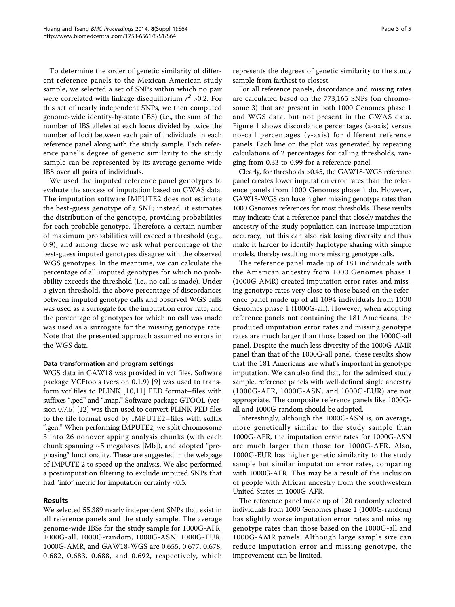To determine the order of genetic similarity of different reference panels to the Mexican American study sample, we selected a set of SNPs within which no pair were correlated with linkage disequilibrium  $r^2$  >0.2. For this set of nearly independent SNPs, we then computed genome-wide identity-by-state (IBS) (i.e., the sum of the number of IBS alleles at each locus divided by twice the number of loci) between each pair of individuals in each reference panel along with the study sample. Each reference panel's degree of genetic similarity to the study sample can be represented by its average genome-wide IBS over all pairs of individuals.

We used the imputed reference panel genotypes to evaluate the success of imputation based on GWAS data. The imputation software IMPUTE2 does not estimate the best-guess genotype of a SNP; instead, it estimates the distribution of the genotype, providing probabilities for each probable genotype. Therefore, a certain number of maximum probabilities will exceed a threshold (e.g., 0.9), and among these we ask what percentage of the best-guess imputed genotypes disagree with the observed WGS genotypes. In the meantime, we can calculate the percentage of all imputed genotypes for which no probability exceeds the threshold (i.e., no call is made). Under a given threshold, the above percentage of discordances between imputed genotype calls and observed WGS calls was used as a surrogate for the imputation error rate, and the percentage of genotypes for which no call was made was used as a surrogate for the missing genotype rate. Note that the presented approach assumed no errors in the WGS data.

## Data transformation and program settings

WGS data in GAW18 was provided in vcf files. Software package VCFtools (version 0.1.9) [[9\]](#page-4-0) was used to transform vcf files to PLINK [[10,11\]](#page-4-0) PED format–files with suffixes ".ped" and ".map." Software package GTOOL (version 0.7.5) [[12](#page-4-0)] was then used to convert PLINK PED files to the file format used by IMPUTE2–files with suffix ".gen." When performing IMPUTE2, we split chromosome 3 into 26 nonoverlapping analysis chunks (with each chunk spanning  $~5$  megabases [Mb]), and adopted "prephasing" functionality. These are suggested in the webpage of IMPUTE 2 to speed up the analysis. We also performed a postimputation filtering to exclude imputed SNPs that had "info" metric for imputation certainty <0.5.

## Results

We selected 55,389 nearly independent SNPs that exist in all reference panels and the study sample. The average genome-wide IBSs for the study sample for 1000G-AFR, 1000G-all, 1000G-random, 1000G-ASN, 1000G-EUR, 1000G-AMR, and GAW18-WGS are 0.655, 0.677, 0.678, 0.682, 0.683, 0.688, and 0.692, respectively, which represents the degrees of genetic similarity to the study sample from farthest to closest.

For all reference panels, discordance and missing rates are calculated based on the 773,165 SNPs (on chromosome 3) that are present in both 1000 Genomes phase 1 and WGS data, but not present in the GWAS data. Figure [1](#page-3-0) shows discordance percentages (x-axis) versus no-call percentages (y-axis) for different reference panels. Each line on the plot was generated by repeating calculations of 2 percentages for calling thresholds, ranging from 0.33 to 0.99 for a reference panel.

Clearly, for thresholds >0.45, the GAW18-WGS reference panel creates lower imputation error rates than the reference panels from 1000 Genomes phase 1 do. However, GAW18-WGS can have higher missing genotype rates than 1000 Genomes references for most thresholds. These results may indicate that a reference panel that closely matches the ancestry of the study population can increase imputation accuracy, but this can also risk losing diversity and thus make it harder to identify haplotype sharing with simple models, thereby resulting more missing genotype calls.

The reference panel made up of 181 individuals with the American ancestry from 1000 Genomes phase 1 (1000G-AMR) created imputation error rates and missing genotype rates very close to those based on the reference panel made up of all 1094 individuals from 1000 Genomes phase 1 (1000G-all). However, when adopting reference panels not containing the 181 Americans, the produced imputation error rates and missing genotype rates are much larger than those based on the 1000G-all panel. Despite the much less diversity of the 1000G-AMR panel than that of the 1000G-all panel, these results show that the 181 Americans are what's important in genotype imputation. We can also find that, for the admixed study sample, reference panels with well-defined single ancestry (1000G-AFR, 1000G-ASN, and 1000G-EUR) are not appropriate. The composite reference panels like 1000Gall and 1000G-random should be adopted.

Interestingly, although the 1000G-ASN is, on average, more genetically similar to the study sample than 1000G-AFR, the imputation error rates for 1000G-ASN are much larger than those for 1000G-AFR. Also, 1000G-EUR has higher genetic similarity to the study sample but similar imputation error rates, comparing with 1000G-AFR. This may be a result of the inclusion of people with African ancestry from the southwestern United States in 1000G-AFR.

The reference panel made up of 120 randomly selected individuals from 1000 Genomes phase 1 (1000G-random) has slightly worse imputation error rates and missing genotype rates than those based on the 1000G-all and 1000G-AMR panels. Although large sample size can reduce imputation error and missing genotype, the improvement can be limited.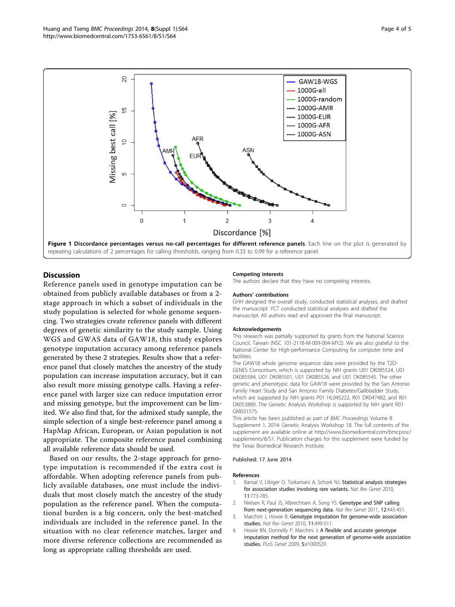<span id="page-3-0"></span>

#### **Discussion**

Reference panels used in genotype imputation can be obtained from publicly available databases or from a 2 stage approach in which a subset of individuals in the study population is selected for whole genome sequencing. Two strategies create reference panels with different degrees of genetic similarity to the study sample. Using WGS and GWAS data of GAW18, this study explores genotype imputation accuracy among reference panels generated by these 2 strategies. Results show that a reference panel that closely matches the ancestry of the study population can increase imputation accuracy, but it can also result more missing genotype calls. Having a reference panel with larger size can reduce imputation error and missing genotype, but the improvement can be limited. We also find that, for the admixed study sample, the simple selection of a single best-reference panel among a HapMap African, European, or Asian population is not appropriate. The composite reference panel combining all available reference data should be used.

Based on our results, the 2-stage approach for genotype imputation is recommended if the extra cost is affordable. When adopting reference panels from publicly available databases, one must include the individuals that most closely match the ancestry of the study population as the reference panel. When the computational burden is a big concern, only the best-matched individuals are included in the reference panel. In the situation with no clear reference matches, larger and more diverse reference collections are recommended as long as appropriate calling thresholds are used.

#### Competing interests

The authors declare that they have no competing interests.

#### Authors' contributions

GHH designed the overall study, conducted statistical analyses, and drafted the manuscript. YCT conducted statistical analyses and drafted the manuscript. All authors read and approved the final manuscript.

#### Acknowledgements

This research was partially supported by grants from the National Science Council, Taiwan (NSC 101-2118-M-009-004-MY2). We are also grateful to the National Center for High-performance Computing for computer time and facilities.

The GAW18 whole genome sequence data were provided by the T2D-GENES Consortium, which is supported by NIH grants U01 DK085524, U01 DK085584, U01 DK085501, U01 DK085526, and U01 DK085545. The other genetic and phenotypic data for GAW18 were provided by the San Antonio Family Heart Study and San Antonio Family Diabetes/Gallbladder Study, which are supported by NIH grants P01 HL045222, R01 DK047482, and R01 DK053889. The Genetic Analysis Workshop is supported by NIH grant R01 GM031575.

This article has been published as part of BMC Proceedings Volume 8 Supplement 1, 2014: Genetic Analysis Workshop 18. The full contents of the supplement are available online at [http://www.biomedcentral.com/bmcproc/](http://www.biomedcentral.com/bmcproc/supplements/8/S1) [supplements/8/S1.](http://www.biomedcentral.com/bmcproc/supplements/8/S1) Publication charges for this supplement were funded by the Texas Biomedical Research Institute.

#### Published: 17 June 2014

#### References

- 1. Bansal V, Libiger O, Torkamani A, Schork NJ: [Statistical analysis strategies](http://www.ncbi.nlm.nih.gov/pubmed/20940738?dopt=Abstract) [for association studies involving rare variants.](http://www.ncbi.nlm.nih.gov/pubmed/20940738?dopt=Abstract) Nat Rev Genet 2010, 11:773-785.
- 2. Nielsen R, Paul JS, Albrechtsen A, Song YS: [Genotype and SNP calling](http://www.ncbi.nlm.nih.gov/pubmed/21587300?dopt=Abstract) [from next-generation sequencing data.](http://www.ncbi.nlm.nih.gov/pubmed/21587300?dopt=Abstract) Nat Rev Genet 2011, 12:443-451.
- 3. Marchini J, Howie B: [Genotype imputation for genome-wide association](http://www.ncbi.nlm.nih.gov/pubmed/20517342?dopt=Abstract) [studies.](http://www.ncbi.nlm.nih.gov/pubmed/20517342?dopt=Abstract) Nat Rev Genet 2010, 11:499-511.
- 4. Howie BN, Donnelly P, Marchini J: [A flexible and accurate genotype](http://www.ncbi.nlm.nih.gov/pubmed/19543373?dopt=Abstract) [imputation method for the next generation of genome-wide association](http://www.ncbi.nlm.nih.gov/pubmed/19543373?dopt=Abstract) [studies.](http://www.ncbi.nlm.nih.gov/pubmed/19543373?dopt=Abstract) PLoS Genet 2009, 5:e1000529.